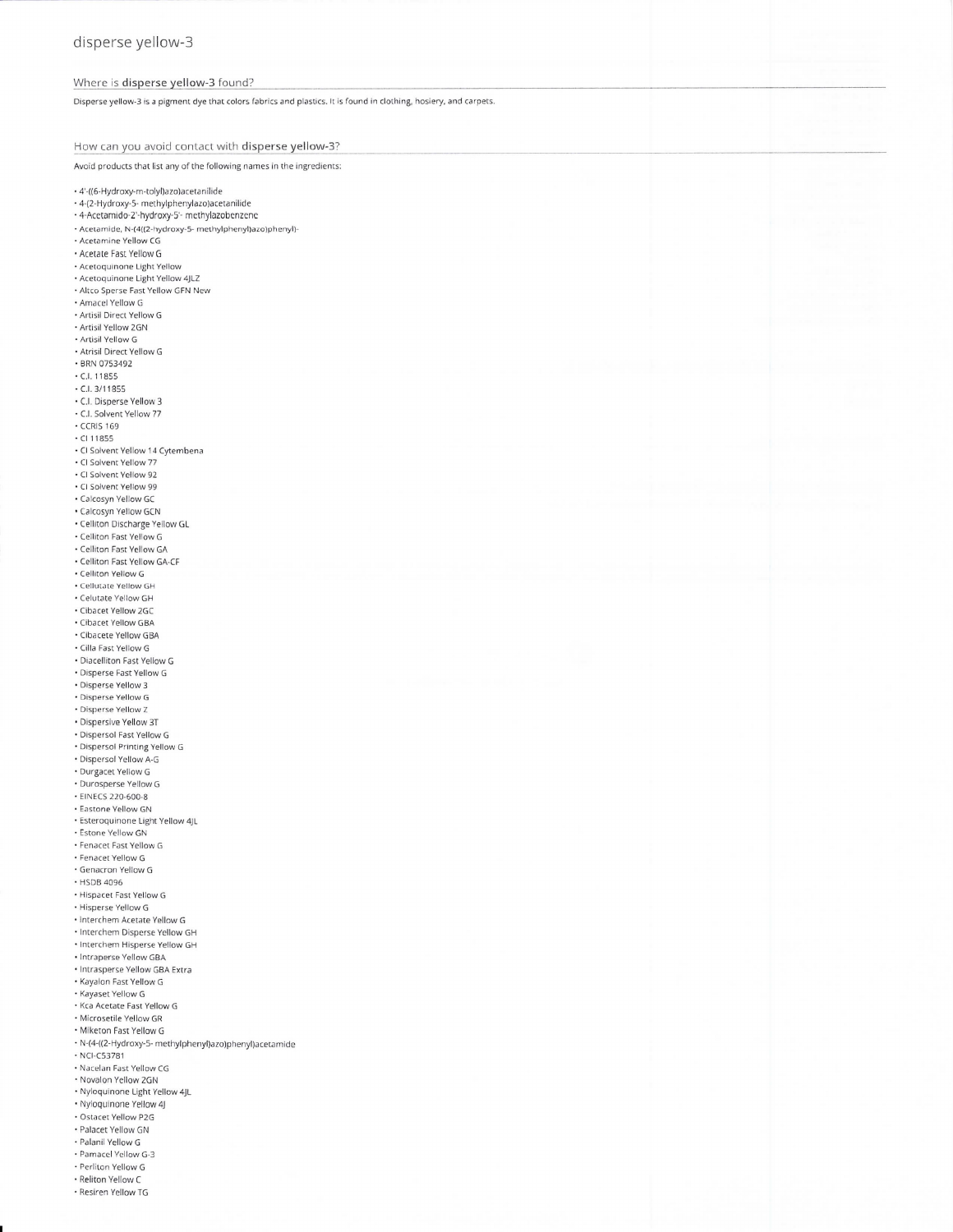## disperse yellow-3

## Where is disperse yellow-3 found?

Disperse yellow-3 is a pigment dye that colors fabrics and plastics. It is found in clothing, hosiery, and carpets.

How can you avoid contact with disperse yellow-3?

| Avoid products that list any of the following names in the ingredients:            |  |
|------------------------------------------------------------------------------------|--|
| · 4'-((6-Hydroxy-m-tolyl)azo)acetanilide                                           |  |
| · 4-(2-Hydroxy-5- methylphenylazo)acetanilide                                      |  |
| • 4-Acetamido-2'-hydroxy-5'- methylazobenzene                                      |  |
| · Acetamide, N-(4((2-hydroxy-5- methylphenyl)azo)phenyl)-<br>· Acetamine Yellow CG |  |
| • Acetate Fast Yellow G                                                            |  |
| · Acetoquinone Light Yellow                                                        |  |
| · Acetoquinone Light Yellow 4JLZ                                                   |  |
| · Altco Sperse Fast Yellow GFN New<br>· Amacel Yellow G                            |  |
| · Artisil Direct Yellow G                                                          |  |
| · Artisil Yellow 2GN                                                               |  |
| · Artisil Yellow G                                                                 |  |
| · Atrisil Direct Yellow G<br>· BRN 0753492                                         |  |
| $\cdot$ C.I. 11855                                                                 |  |
| $\cdot$ C.I. 3/11855                                                               |  |
| . C.I. Disperse Yellow 3                                                           |  |
| · C.I. Solvent Yellow 77                                                           |  |
| $\cdot$ CCRIS 169<br>$\cdot$ CI 11855                                              |  |
| · CI Solvent Yellow 14 Cytembena                                                   |  |
| · CI Solvent Yellow 77                                                             |  |
| · CI Solvent Yellow 92                                                             |  |
| · CI Solvent Yellow 99<br>· Calcosyn Yellow GC                                     |  |
| • Calcosyn Yellow GCN                                                              |  |
| • Celliton Discharge Yellow GL                                                     |  |
| · Celliton Fast Yellow G                                                           |  |
| · Celliton Fast Yellow GA<br>• Celliton Fast Yellow GA-CF                          |  |
| · Celliton Yellow G                                                                |  |
| · Cellutate Yellow GH                                                              |  |
| · Celutate Yellow GH                                                               |  |
| · Cibacet Yellow 2GC<br>· Cibacet Yellow GBA                                       |  |
| · Cibacete Yellow GBA                                                              |  |
| · Cilla Fast Yellow G                                                              |  |
| · Diacelliton Fast Yellow G                                                        |  |
| · Disperse Fast Yellow G<br>• Disperse Yellow 3                                    |  |
| · Disperse Yellow G                                                                |  |
| · Disperse Yellow Z                                                                |  |
| • Dispersive Yellow 3T                                                             |  |
| · Dispersol Fast Yellow G<br>· Dispersol Printing Yellow G                         |  |
| · Dispersol Yellow A-G                                                             |  |
| · Durgacet Yellow G                                                                |  |
| · Durosperse Yellow G                                                              |  |
| - EINECS 220-600-8<br>· Eastone Yellow GN                                          |  |
| · Esteroquinone Light Yellow 4JL                                                   |  |
| · Estone Yellow GN                                                                 |  |
| · Fenacet Fast Yellow G                                                            |  |
| • Fenacet Yellow G<br>· Genacron Yellow G                                          |  |
| · HSDB 4096                                                                        |  |
| • Hispacet Fast Yellow G                                                           |  |
| · Hisperse Yellow G                                                                |  |
| · Interchem Acetate Yellow G<br>· Interchem Disperse Yellow GH                     |  |
| · Interchem Hisperse Yellow GH                                                     |  |
| · Intraperse Yellow GBA                                                            |  |
| · Intrasperse Yellow GBA Extra                                                     |  |
| · Kayalon Fast Yellow G<br>· Kayaset Yellow G                                      |  |
| · Kca Acetate Fast Yellow G                                                        |  |
| · Microsetile Yellow GR                                                            |  |
| · Miketon Fast Yellow G                                                            |  |
| · N-(4-((2-Hydroxy-5- methylphenyl)azo)phenyl)acetamide<br>$\cdot$ NCI-C53781      |  |
| · Nacelan Fast Yellow CG                                                           |  |
| · Novalon Yellow 2GN                                                               |  |
| · Nyloquinone Light Yellow 4JL                                                     |  |
| · Nyloquinone Yellow 4J<br>· Ostacet Yellow P2G                                    |  |
| · Palacet Yellow GN                                                                |  |
| · Palanil Yellow G                                                                 |  |
| · Pamacel Yellow G-3                                                               |  |
| · Perliton Yellow G                                                                |  |
| · Reliton Yellow C<br>· Resiren Yellow TG                                          |  |
|                                                                                    |  |